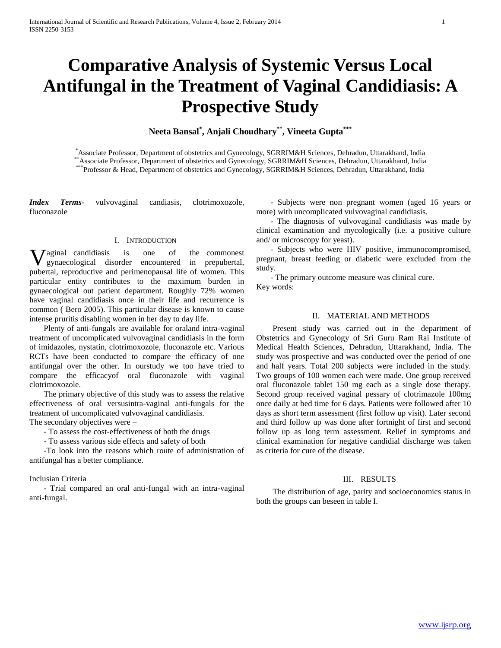# **Comparative Analysis of Systemic Versus Local Antifungal in the Treatment of Vaginal Candidiasis: A Prospective Study**

**Neeta Bansal\* , Anjali Choudhary\*\*, Vineeta Gupta\*\*\***

\*Associate Professor, Department of obstetrics and Gynecology, SGRRIM&H Sciences, Dehradun, Uttarakhand, India \*\*Associate Professor, Department of obstetrics and Gynecology, SGRRIM&H Sciences, Dehradun, Uttarakhand, India \*Professor & Head, Department of obstetrics and Gynecology, SGRRIM&H Sciences, Dehradun, Uttarakhand, India

*Index Terms*- vulvovaginal candiasis, clotrimoxozole, fluconazole

## I. INTRODUCTION

**V** aginal candidiasis is one of the commonest gynaecological disorder encountered in prepubertal, gynaecological disorder encountered in prepubertal, pubertal, reproductive and perimenopausal life of women. This particular entity contributes to the maximum burden in gynaecological out patient department. Roughly 72% women have vaginal candidiasis once in their life and recurrence is common ( Bero 2005). This particular disease is known to cause intense pruritis disabling women in her day to day life.

 Plenty of anti-fungals are available for oraland intra-vaginal treatment of uncomplicated vulvovaginal candidiasis in the form of imidazoles, nystatin, clotrimoxozole, fluconazole etc. Various RCTs have been conducted to compare the efficacy of one antifungal over the other. In ourstudy we too have tried to compare the efficacyof oral fluconazole with vaginal clotrimoxozole.

 The primary objective of this study was to assess the relative effectiveness of oral versusintra-vaginal anti-fungals for the treatment of uncomplicated vulvovaginal candidiasis.

The secondary objectives were –

- To assess the cost-effectiveness of both the drugs

- To assess various side effects and safety of both

 -To look into the reasons which route of administration of antifungal has a better compliance.

#### Inclusian Criteria

 - Trial compared an oral anti-fungal with an intra-vaginal anti-fungal.

 - Subjects were non pregnant women (aged 16 years or more) with uncomplicated vulvovaginal candidiasis.

 - The diagnosis of vulvovaginal candidiasis was made by clinical examination and mycologically (i.e. a positive culture and/ or microscopy for yeast).

 - Subjects who were HIV positive, immunocompromised, pregnant, breast feeding or diabetic were excluded from the study.

 - The primary outcome measure was clinical cure. Key words:

# II. MATERIAL AND METHODS

 Present study was carried out in the department of Obstetrics and Gynecology of Sri Guru Ram Rai Institute of Medical Health Sciences, Dehradun, Uttarakhand, India. The study was prospective and was conducted over the period of one and half years. Total 200 subjects were included in the study. Two groups of 100 women each were made. One group received oral fluconazole tablet 150 mg each as a single dose therapy. Second group received vaginal pessary of clotrimazole 100mg once daily at bed time for 6 days. Patients were followed after 10 days as short term assessment (first follow up visit). Later second and third follow up was done after fortnight of first and second follow up as long term assessment. Relief in symptoms and clinical examination for negative candidial discharge was taken as criteria for cure of the disease.

# III. RESULTS

 The distribution of age, parity and socioeconomics status in both the groups can beseen in table I.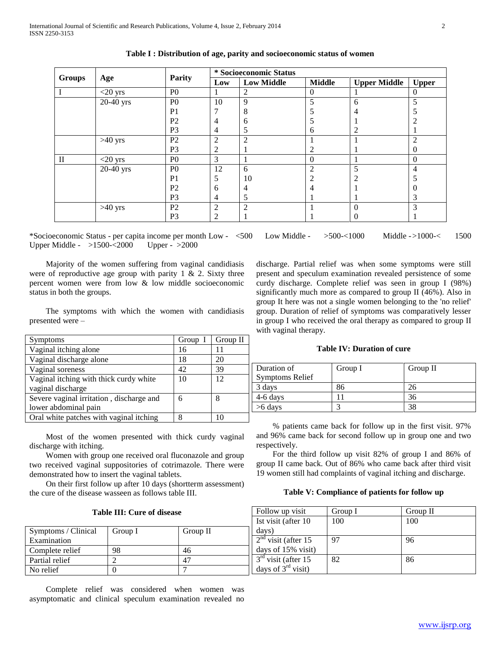|               | Age         | <b>Parity</b>  | * Socioeconomic Status |                   |                |                     |                  |
|---------------|-------------|----------------|------------------------|-------------------|----------------|---------------------|------------------|
| <b>Groups</b> |             |                | Low                    | <b>Low Middle</b> | <b>Middle</b>  | <b>Upper Middle</b> | <b>Upper</b>     |
|               | $<$ 20 yrs  | P <sub>0</sub> |                        | 2                 | $\mathbf{0}$   |                     | $\theta$         |
|               | 20-40 yrs   | P <sub>0</sub> | 10                     | 9                 | 5              | 6                   | 5                |
|               |             | P <sub>1</sub> | ⇁                      | 8                 |                |                     |                  |
|               |             | P <sub>2</sub> | 4                      | 6                 |                |                     | 2                |
|               |             | P <sub>3</sub> | 4                      | 5                 | 6              |                     |                  |
|               | $>40$ yrs   | P <sub>2</sub> | $\overline{2}$         | $\mathfrak{D}$    |                |                     | $\overline{2}$   |
|               |             | P <sub>3</sub> | 2                      |                   | 2              |                     | $\boldsymbol{0}$ |
| $\mathbf{I}$  | $<$ 20 yrs  | P <sub>0</sub> | 3                      |                   | $\mathbf{0}$   |                     | $\boldsymbol{0}$ |
|               | $20-40$ yrs | P <sub>0</sub> | 12                     | 6                 | $\overline{c}$ | 5                   | 4                |
|               |             | P <sub>1</sub> | 5                      | 10                | 2              |                     |                  |
|               |             | P <sub>2</sub> | 6                      | 4                 | 4              |                     | $\theta$         |
|               |             | P <sub>3</sub> | $\overline{4}$         | 5                 |                |                     | 3                |
|               | $>40$ yrs   | P <sub>2</sub> | $\overline{2}$         | $\mathfrak{D}$    |                | $\Omega$            | 3                |
|               |             | P <sub>3</sub> | 2                      |                   |                | 0                   | 1                |

| Table I : Distribution of age, parity and socioeconomic status of women |  |  |
|-------------------------------------------------------------------------|--|--|
|                                                                         |  |  |

\*Socioeconomic Status - per capita income per month Low - <500 Low Middle - >500-<1000 Middle ->1000-< 1500 Upper Middle - >1500-<2000 Upper - >2000

 Majority of the women suffering from vaginal candidiasis were of reproductive age group with parity 1  $\&$  2. Sixty three percent women were from low & low middle socioeconomic status in both the groups.

 The symptoms with which the women with candidiasis presented were –

| Symptoms                                 | Group I | Group II |
|------------------------------------------|---------|----------|
| Vaginal itching alone                    | 16      |          |
| Vaginal discharge alone                  | 18      | 20       |
| Vaginal soreness                         | 42      | 39       |
| Vaginal itching with thick curdy white   | 10      | 12       |
| vaginal discharge                        |         |          |
| Severe vaginal irritation, discharge and | 6       | 8        |
| lower abdominal pain                     |         |          |
| Oral white patches with vaginal itching  | 8       |          |

 Most of the women presented with thick curdy vaginal discharge with itching.

 Women with group one received oral fluconazole and group two received vaginal suppositories of cotrimazole. There were demonstrated how to insert the vaginal tablets.

 On their first follow up after 10 days (shortterm assessment) the cure of the disease wasseen as follows table III.

Group I

Symptoms / Clinical Examination

Complete relief 198 Partial relief 2 No relief  $\begin{array}{ccc} \hline \end{array}$  0

discharge. Partial relief was when some symptoms were still present and speculum examination revealed persistence of some curdy discharge. Complete relief was seen in group I (98%) significantly much more as compared to group II (46%). Also in group It here was not a single women belonging to the 'no relief' group. Duration of relief of symptoms was comparatively lesser in group I who received the oral therapy as compared to group II with vaginal therapy.

## **Table IV: Duration of cure**

| Duration of            | Group I | Group II |
|------------------------|---------|----------|
| <b>Symptoms Relief</b> |         |          |
| 3 days                 | 86      | 26       |
| $4-6$ days             |         | 36       |
| >6 days                |         | 38       |

 % patients came back for follow up in the first visit. 97% and 96% came back for second follow up in group one and two respectively.

 For the third follow up visit 82% of group I and 86% of group II came back. Out of 86% who came back after third visit 19 women still had complaints of vaginal itching and discharge.

# **Table V: Compliance of patients for follow up**

| isease |          | Follow up visit                           | Group I | Group II |
|--------|----------|-------------------------------------------|---------|----------|
|        |          | Ist visit (after 10                       | 100     | 100      |
|        | Group II | davs)                                     |         |          |
|        |          | $\gamma$ <sup>nd</sup><br>visit (after 15 | 97      | 96       |
|        | 46       | days of $15\%$ visit)                     |         |          |
|        | 47       | $3rd$ visit (after 15                     | 82      | 86       |
|        |          | days of $3rd$ visit)                      |         |          |

 Complete relief was considered when women was asymptomatic and clinical speculum examination revealed no